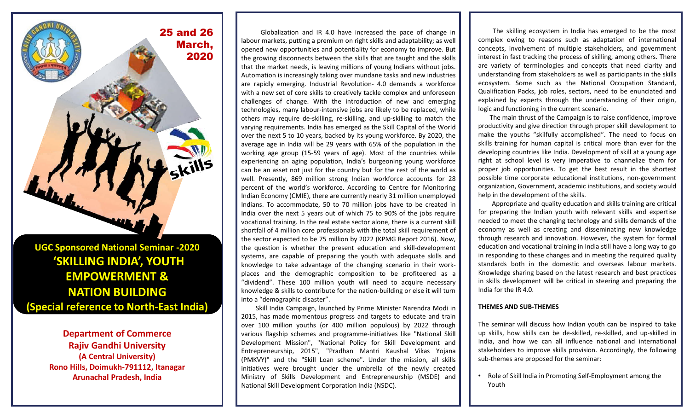

**UGC Sponsored National Seminar -2020'SKILLING INDIA', YOUTH EMPOWERMENT & NATION BUILDING(Special reference to North-East India)**

> **Department of Commerce Rajiv Gandhi University (A Central University) Rono Hills, Doimukh-791112, Itanagar Arunachal Pradesh, India**

Globalization and IR 4.0 have increased the pace of change in labour markets, putting <sup>a</sup> premium on right skills and adaptability; as well opened new opportunities and potentiality for economy to improve. But the growing disconnects between the skills that are taught and the skills that the market needs, is leaving millions of young Indians without jobs. Automation is increasingly taking over mundane tasks and new industries are rapidly emerging. Industrial Revolution- 4.0 demands <sup>a</sup> workforce with <sup>a</sup> new set of core skills to creatively tackle complex and unforeseen challenges of change. With the introduction of new and emerging technologies, many labour-intensive jobs are likely to be replaced, while others may require de-skilling, re-skilling, and up-skilling to match the varying requirements. India has emerged as the Skill Capital of the World over the next <sup>5</sup> to <sup>10</sup> years, backed by its young workforce. By 2020, the average age in India will be <sup>29</sup> years with 65% of the population in the working age group (15-59 years of age). Most of the countries while experiencing an aging population, India's burgeoning young workforce can be an asset not just for the country but for the rest of the world as well. Presently, <sup>869</sup> million strong Indian workforce accounts for <sup>28</sup> percent of the world's workforce. According to Centre for Monitoring Indian Economy (CMIE), there are currently nearly <sup>31</sup> million unemployed Indians. To accommodate, <sup>50</sup> to <sup>70</sup> million jobs have to be created in India over the next <sup>5</sup> years out of which <sup>75</sup> to 90% of the jobs require vocational training. In the real estate sector alone, there is <sup>a</sup> current skill shortfall of <sup>4</sup> million core professionals with the total skill requirement of the sector expected to be <sup>75</sup> million by <sup>2022</sup> (KPMG Report 2016). Now, the question is whether the present education and skill-development systems, are capable of preparing the youth with adequate skills and knowledge to take advantage of the changing scenario in their workplaces and the demographic composition to be profiteered as <sup>a</sup> "dividend". These <sup>100</sup> million youth will need to acquire necessary knowledge & skills to contribute for the nation-building or else it will turninto <sup>a</sup> "demographic disaster".

Skill India Campaign, launched by Prime Minister Narendra Modi in 2015, has made momentous progress and targets to educate and train over <sup>100</sup> million youths (or <sup>400</sup> million populous) by <sup>2022</sup> through various flagship schemes and programme-initiatives like "National Skill Development Mission", "National Policy for Skill Development and Entrepreneurship, 2015", "Pradhan Mantri Kaushal Vikas Yojana (PMKVY)" and the "Skill Loan scheme". Under the mission, all skills initiatives were brought under the umbrella of the newly created Ministry of Skills Development and Entrepreneurship (MSDE) andNational Skill Development Corporation India (NSDC).

The skilling ecosystem in India has emerged to be the most complex owing to reasons such as adaptation of international concepts, involvement of multiple stakeholders, and government interest in fast tracking the process of skilling, among others. There are variety of terminologies and concepts that need clarity and understanding from stakeholders as well as participants in the skills ecosystem. Some such as the National Occupation Standard, Qualification Packs, job roles, sectors, need to be enunciated and explained by experts through the understanding of their origin, logic and functioning in the current scenario.

The main thrust of the Campaign is to raise confidence, improve productivity and give direction through proper skill development to make the youths "skilfully accomplished". The need to focus on skills training for human capital is critical more than ever for the developing countries like India. Development of skill at <sup>a</sup> young age right at school level is very imperative to channelize them for proper job opportunities. To get the best result in the shortest possible time corporate educational institutions, non-government organization, Government, academic institutions, and society wouldhelp in the development of the skills.

Appropriate and quality education and skills training are critical for preparing the Indian youth with relevant skills and expertise needed to meet the changing technology and skills demands of the economy as well as creating and disseminating new knowledge through research and innovation. However, the system for formal education and vocational training in India still have <sup>a</sup> long way to go in responding to these changes and in meeting the required quality standards both in the domestic and overseas labour markets. Knowledge sharing based on the latest research and best practices in skills development will be critical in steering and preparing the India for the IR 4.0.

#### **THEMES AND SUB-THEMES**

The seminar will discuss how Indian youth can be inspired to take up skills, how skills can be de-skilled, re-skilled, and up-skilled in India, and how we can all influence national and international stakeholders to improve skills provision. Accordingly, the following sub-themes are proposed for the seminar:

• Role of Skill India in Promoting Self-Employment among the Youth